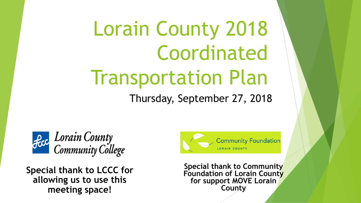# Lorain County 2018 Coordinated Transportation Plan

Thursday, September 27, 2018



**Special thank to LCCC for allowing us to use this meeting space!**



**Special thank to Community Foundation of Lorain County for support MOVE Lorain County**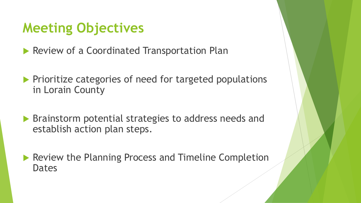### **Meeting Objectives**

**Review of a Coordinated Transportation Plan** 

- $\blacktriangleright$  Prioritize categories of need for targeted populations in Lorain County
- **Brainstorm potential strategies to address needs and** establish action plan steps.
- **Review the Planning Process and Timeline Completion** Dates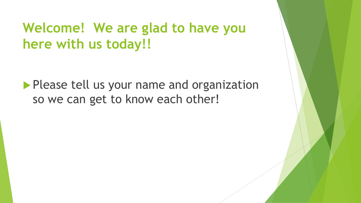### **Welcome! We are glad to have you here with us today!!**

**Please tell us your name and organization** so we can get to know each other!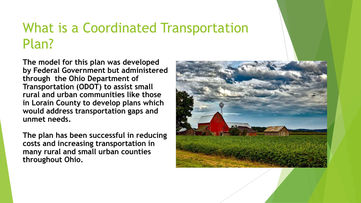### What is a Coordinated Transportation Plan?

**The model for this plan was developed by Federal Government but administered through the Ohio Department of Transportation (ODOT) to assist small rural and urban communities like those in Lorain County to develop plans which would address transportation gaps and unmet needs.**

**The plan has been successful in reducing costs and increasing transportation in many rural and small urban counties throughout Ohio.**

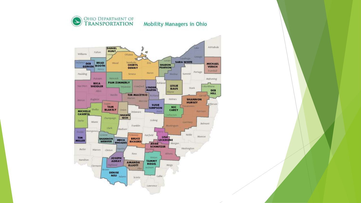

#### Mobility Managers in Ohio

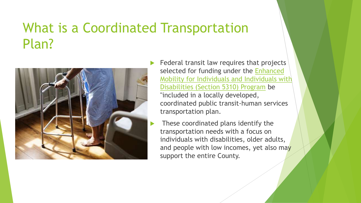### What is a Coordinated Transportation Plan?



- Federal transit law requires that projects selected for funding under the Enhanced [Mobility for Individuals and Individuals with](https://www.transit.dot.gov/funding/grants/enhanced-mobility-seniors-individuals-disabilities-section-5310)  Disabilities (Section 5310) Program be "included in a locally developed, coordinated public transit-human services transportation plan.
- These coordinated plans identify the transportation needs with a focus on individuals with disabilities, older adults, and people with low incomes, yet also may support the entire County.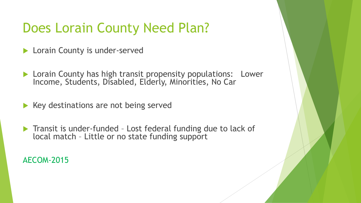### Does Lorain County Need Plan?

- **Lorain County is under-served**
- **Lorain County has high transit propensity populations: Lower** Income, Students, Disabled, Elderly, Minorities, No Car
- $\blacktriangleright$  Key destinations are not being served
- ▶ Transit is under-funded Lost federal funding due to lack of local match – Little or no state funding support

AECOM-2015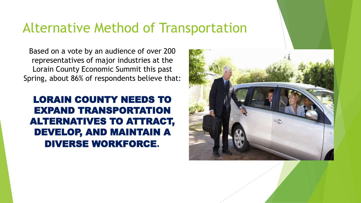#### Alternative Method of Transportation

Based on a vote by an audience of over 200 representatives of major industries at the Lorain County Economic Summit this past Spring, about 86% of respondents believe that:

#### LORAIN COUNTY NEEDS TO EXPAND TRANSPORTATION ALTERNATIVES TO ATTRACT, DEVELOP, AND MAINTAIN A DIVERSE WORKFORCE**.**

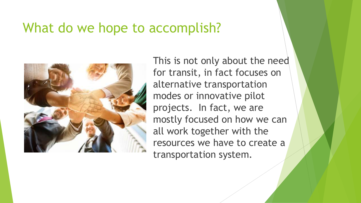#### What do we hope to accomplish?



This is not only about the need for transit, in fact focuses on alternative transportation modes or innovative pilot projects. In fact, we are mostly focused on how we can all work together with the resources we have to create a transportation system.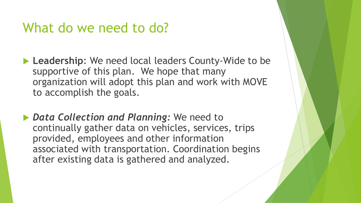#### What do we need to do?

- ▶ Leadership: We need local leaders County-Wide to be supportive of this plan. We hope that many organization will adopt this plan and work with MOVE to accomplish the goals.
- *Data Collection and Planning:* We need to continually gather data on vehicles, services, trips provided, employees and other information associated with transportation. Coordination begins after existing data is gathered and analyzed.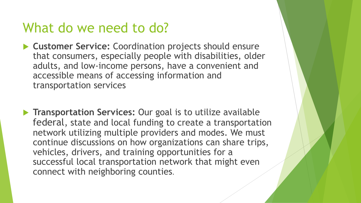#### What do we need to do?

- **Customer Service:** Coordination projects should ensure that consumers, especially people with disabilities, older adults, and low-income persons, have a convenient and accessible means of accessing information and transportation services
- **Transportation Services: Our goal is to utilize available** federal, state and local funding to create a transportation network utilizing multiple providers and modes. We must continue discussions on how organizations can share trips, vehicles, drivers, and training opportunities for a successful local transportation network that might even connect with neighboring counties.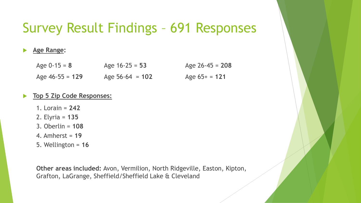### Survey Result Findings – 691 Responses

#### **Age Range:**

| Age $0-15 = 8$    | Age $16-25 = 53$  | Age $26 - 45 = 208$ |
|-------------------|-------------------|---------------------|
| Age $46-55 = 129$ | Age $56-64 = 102$ | Age $65+ = 121$     |

#### **Top 5 Zip Code Responses:**

- 1. Lorain = **242**
- 2. Elyria = **135**
- 3. Oberlin = **108**
- 4. Amherst = **19**
- 5. Wellington = **16**

**Other areas included:** Avon, Vermilion, North Ridgeville, Easton, Kipton, Grafton, LaGrange, Sheffield/Sheffield Lake & Cleveland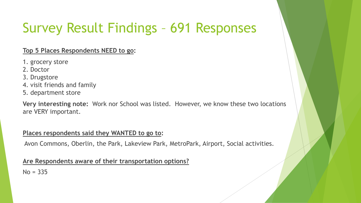## Survey Result Findings – 691 Responses

#### **Top 5 Places Respondents NEED to go:**

- 1. grocery store
- 2. Doctor
- 3. Drugstore
- 4. visit friends and family
- 5. department store

**Very interesting note:** Work nor School was listed. However, we know these two locations are VERY important.

#### **Places respondents said they WANTED to go to:**

Avon Commons, Oberlin, the Park, Lakeview Park, MetroPark, Airport, Social activities.

#### **Are Respondents aware of their transportation options?**

 $No = 335$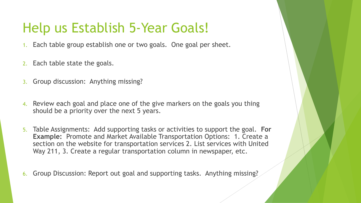### Help us Establish 5-Year Goals!

- Each table group establish one or two goals. One goal per sheet.
- 2. Each table state the goals.
- 3. Group discussion: Anything missing?
- 4. Review each goal and place one of the give markers on the goals you thing should be a priority over the next 5 years.
- 5. Table Assignments: Add supporting tasks or activities to support the goal. **For Example:** Promote and Market Available Transportation Options: 1. Create a section on the website for transportation services 2. List services with United Way 211, 3. Create a regular transportation column in newspaper, etc.
- 6. Group Discussion: Report out goal and supporting tasks. Anything missing?